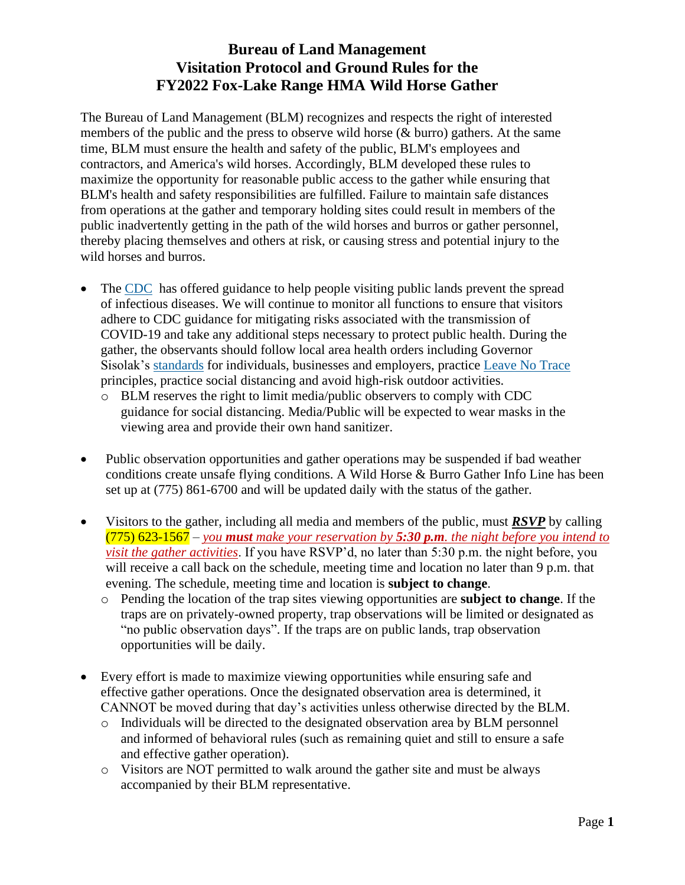## **Bureau of Land Management Visitation Protocol and Ground Rules for the FY2022 Fox-Lake Range HMA Wild Horse Gather**

The Bureau of Land Management (BLM) recognizes and respects the right of interested members of the public and the press to observe wild horse (& burro) gathers. At the same time, BLM must ensure the health and safety of the public, BLM's employees and contractors, and America's wild horses. Accordingly, BLM developed these rules to maximize the opportunity for reasonable public access to the gather while ensuring that BLM's health and safety responsibilities are fulfilled. Failure to maintain safe distances from operations at the gather and temporary holding sites could result in members of the public inadvertently getting in the path of the wild horses and burros or gather personnel, thereby placing themselves and others at risk, or causing stress and potential injury to the wild horses and burros.

- The [CDC](https://www.cdc.gov/coronavirus/2019-ncov/community/parks-rec/index.html) has offered guidance to help people visiting public lands prevent the spread of infectious diseases. We will continue to monitor all functions to ensure that visitors adhere to CDC guidance for mitigating risks associated with the transmission of COVID-19 and take any additional steps necessary to protect public health. During the gather, the observants should follow local area health orders including Governor Sisolak's [standards](https://nvhealthresponse.nv.gov/wp-content/uploads/2020/05/Phase-2-General-Guidance.pdf) for individuals, businesses and employers, practice [Leave No Trace](https://lnt.org/) principles, practice social distancing and avoid high-risk outdoor activities.
	- o BLM reserves the right to limit media/public observers to comply with CDC guidance for social distancing. Media/Public will be expected to wear masks in the viewing area and provide their own hand sanitizer.
- Public observation opportunities and gather operations may be suspended if bad weather conditions create unsafe flying conditions. A Wild Horse & Burro Gather Info Line has been set up at (775) 861-6700 and will be updated daily with the status of the gather.
- Visitors to the gather, including all media and members of the public, must *RSVP* by calling (775) 623-1567 – *you must make your reservation by 5:30 p.m. the night before you intend to visit the gather activities*. If you have RSVP'd, no later than 5:30 p.m. the night before, you will receive a call back on the schedule, meeting time and location no later than 9 p.m. that evening. The schedule, meeting time and location is **subject to change**.
	- o Pending the location of the trap sites viewing opportunities are **subject to change**. If the traps are on privately-owned property, trap observations will be limited or designated as "no public observation days". If the traps are on public lands, trap observation opportunities will be daily.
- Every effort is made to maximize viewing opportunities while ensuring safe and effective gather operations. Once the designated observation area is determined, it CANNOT be moved during that day's activities unless otherwise directed by the BLM.
	- o Individuals will be directed to the designated observation area by BLM personnel and informed of behavioral rules (such as remaining quiet and still to ensure a safe and effective gather operation).
	- o Visitors are NOT permitted to walk around the gather site and must be always accompanied by their BLM representative.